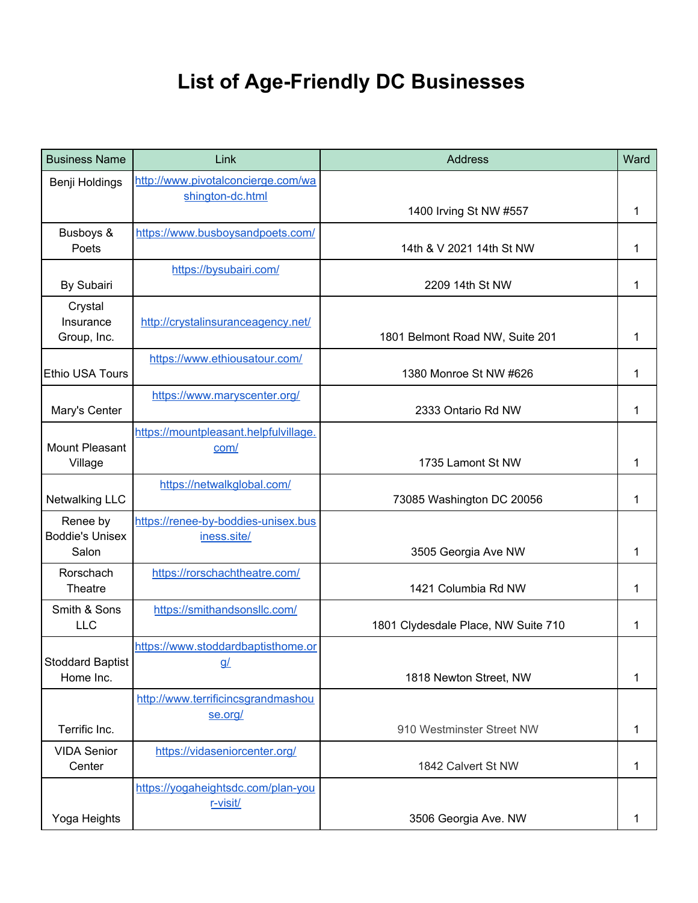## **List of Age-Friendly DC Businesses**

| <b>Business Name</b>                 | Link                                  | <b>Address</b>                      | Ward |
|--------------------------------------|---------------------------------------|-------------------------------------|------|
| Benji Holdings                       | http://www.pivotalconcierge.com/wa    |                                     |      |
|                                      | shington-dc.html                      | 1400 Irving St NW #557              | 1    |
| Busboys &                            | https://www.busboysandpoets.com/      |                                     |      |
| Poets                                |                                       | 14th & V 2021 14th St NW            | 1    |
| By Subairi                           | https://bysubairi.com/                | 2209 14th St NW                     | 1    |
| Crystal<br>Insurance                 |                                       |                                     |      |
| Group, Inc.                          | http://crystalinsuranceagency.net/    | 1801 Belmont Road NW, Suite 201     | 1    |
|                                      | https://www.ethiousatour.com/         |                                     |      |
| <b>Ethio USA Tours</b>               |                                       | 1380 Monroe St NW #626              | 1    |
| Mary's Center                        | https://www.maryscenter.org/          | 2333 Ontario Rd NW                  | 1    |
|                                      | https://mountpleasant.helpfulvillage. |                                     |      |
| <b>Mount Pleasant</b>                | com/                                  |                                     |      |
| Village                              |                                       | 1735 Lamont St NW                   | 1    |
| <b>Netwalking LLC</b>                | https://netwalkglobal.com/            | 73085 Washington DC 20056           | 1    |
| Renee by                             | https://renee-by-boddies-unisex.bus   |                                     |      |
| <b>Boddie's Unisex</b><br>Salon      | iness.site/                           | 3505 Georgia Ave NW                 | 1    |
| Rorschach                            | https://rorschachtheatre.com/         |                                     |      |
| Theatre                              |                                       | 1421 Columbia Rd NW                 | 1    |
| Smith & Sons<br><b>LLC</b>           | https://smithandsonsllc.com/          | 1801 Clydesdale Place, NW Suite 710 | 1    |
|                                      | https://www.stoddardbaptisthome.or    |                                     |      |
| <b>Stoddard Baptist</b><br>Home Inc. | <u>g/</u>                             | 1818 Newton Street, NW              | 1    |
|                                      | http://www.terrificincsgrandmashou    |                                     |      |
|                                      | se.org/                               |                                     |      |
| Terrific Inc.                        |                                       | 910 Westminster Street NW           | 1    |
| <b>VIDA Senior</b><br>Center         | https://vidaseniorcenter.org/         | 1842 Calvert St NW                  | 1    |
|                                      | https://yogaheightsdc.com/plan-you    |                                     |      |
| Yoga Heights                         | r-visit/                              | 3506 Georgia Ave. NW                | 1    |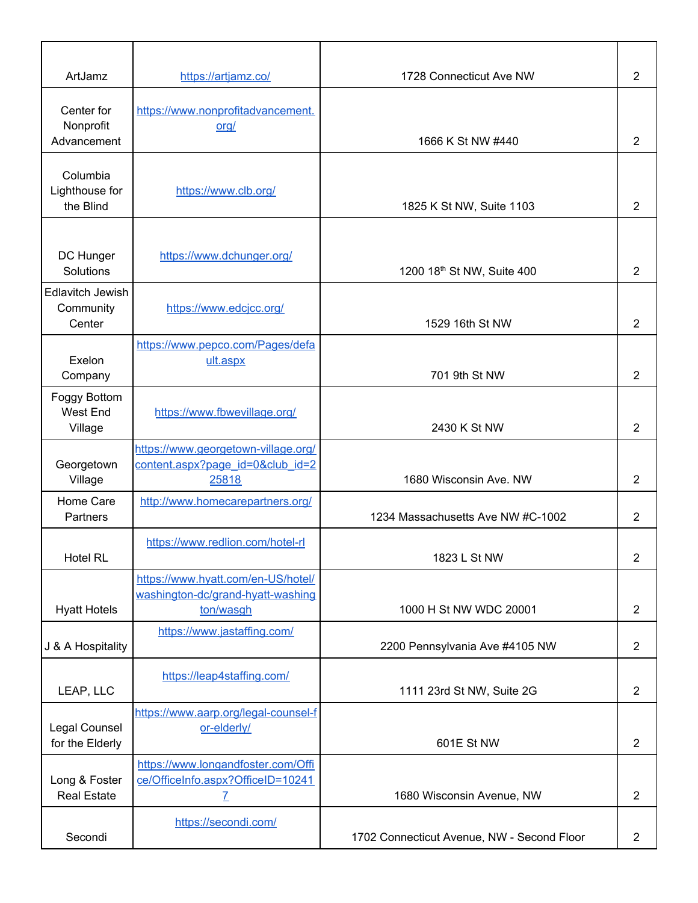| ArtJamz                                        | https://artjamz.co/                                                                     | 1728 Connecticut Ave NW                    | 2              |
|------------------------------------------------|-----------------------------------------------------------------------------------------|--------------------------------------------|----------------|
| Center for<br>Nonprofit<br>Advancement         | https://www.nonprofitadvancement.<br>org/                                               | 1666 K St NW #440                          | 2              |
| Columbia<br>Lighthouse for<br>the Blind        | https://www.clb.org/                                                                    | 1825 K St NW, Suite 1103                   | 2              |
| DC Hunger<br>Solutions                         | https://www.dchunger.org/                                                               | 1200 18th St NW, Suite 400                 | 2              |
| <b>Edlavitch Jewish</b><br>Community<br>Center | https://www.edcjcc.org/                                                                 | 1529 16th St NW                            | 2              |
| Exelon<br>Company                              | https://www.pepco.com/Pages/defa<br>ult.aspx                                            | 701 9th St NW                              | 2              |
| Foggy Bottom<br>West End<br>Village            | https://www.fbwevillage.org/                                                            | 2430 K St NW                               | 2              |
| Georgetown<br>Village                          | https://www.georgetown-village.org/<br>content.aspx?page_id=0&club_id=2<br>25818        | 1680 Wisconsin Ave. NW                     | 2              |
| Home Care<br>Partners                          | http://www.homecarepartners.org/                                                        | 1234 Massachusetts Ave NW #C-1002          | 2              |
| <b>Hotel RL</b>                                | https://www.redlion.com/hotel-rl                                                        | 1823 L St NW                               | $\overline{2}$ |
| <b>Hyatt Hotels</b>                            | https://www.hyatt.com/en-US/hotel/<br>washington-dc/grand-hyatt-washing<br>ton/wasgh    | 1000 H St NW WDC 20001                     | $\overline{2}$ |
| J & A Hospitality                              | https://www.jastaffing.com/                                                             | 2200 Pennsylvania Ave #4105 NW             | 2              |
| LEAP, LLC                                      | https://leap4staffing.com/                                                              | 1111 23rd St NW, Suite 2G                  | $\overline{2}$ |
| Legal Counsel<br>for the Elderly               | https://www.aarp.org/legal-counsel-f<br>or-elderly/                                     | 601E St NW                                 | $\overline{2}$ |
| Long & Foster<br><b>Real Estate</b>            | https://www.longandfoster.com/Offi<br>ce/OfficeInfo.aspx?OfficeID=10241<br>$\mathbf{Z}$ | 1680 Wisconsin Avenue, NW                  | 2              |
| Secondi                                        | https://secondi.com/                                                                    | 1702 Connecticut Avenue, NW - Second Floor | 2              |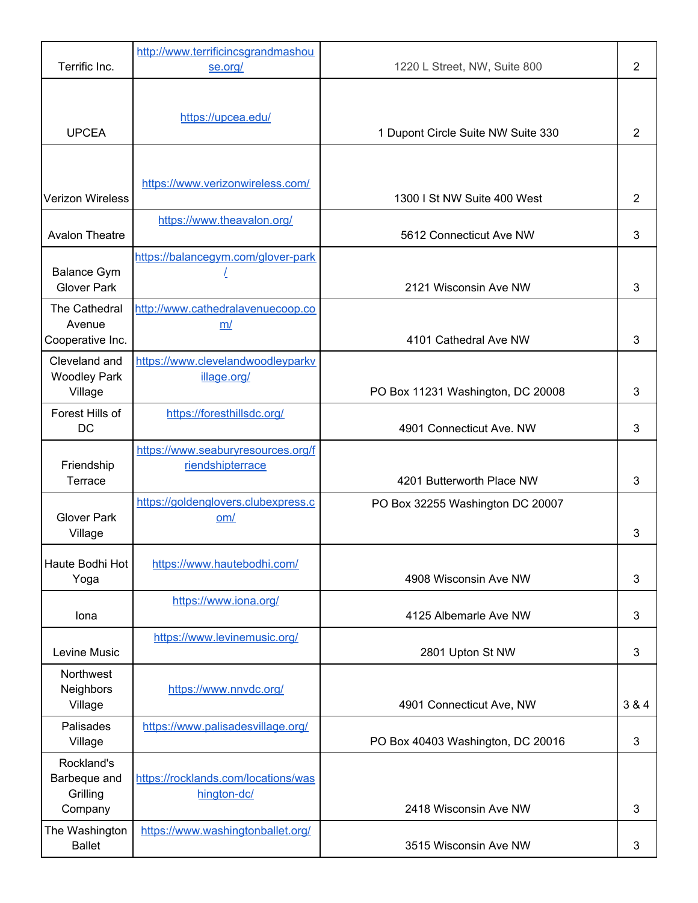|                                                   | http://www.terrificincsgrandmashou                     |                                    |                |
|---------------------------------------------------|--------------------------------------------------------|------------------------------------|----------------|
| Terrific Inc.                                     | se.org/                                                | 1220 L Street, NW, Suite 800       | $\overline{2}$ |
| <b>UPCEA</b>                                      | https://upcea.edu/                                     | 1 Dupont Circle Suite NW Suite 330 | 2              |
|                                                   |                                                        |                                    |                |
| <b>Verizon Wireless</b>                           | https://www.verizonwireless.com/                       | 1300 I St NW Suite 400 West        | $\overline{2}$ |
| <b>Avalon Theatre</b>                             | https://www.theavalon.org/                             | 5612 Connecticut Ave NW            | 3              |
| <b>Balance Gym</b><br><b>Glover Park</b>          | https://balancegym.com/glover-park                     | 2121 Wisconsin Ave NW              | 3              |
| The Cathedral<br>Avenue<br>Cooperative Inc.       | http://www.cathedralavenuecoop.co<br>m/                | 4101 Cathedral Ave NW              | 3              |
| Cleveland and<br><b>Woodley Park</b><br>Village   | https://www.clevelandwoodleyparkv<br>illage.org/       | PO Box 11231 Washington, DC 20008  | 3              |
| Forest Hills of<br>DC                             | https://foresthillsdc.org/                             | 4901 Connecticut Ave. NW           | 3              |
| Friendship<br>Terrace                             | https://www.seaburyresources.org/f<br>riendshipterrace | 4201 Butterworth Place NW          | 3              |
| <b>Glover Park</b><br>Village                     | https://goldenglovers.clubexpress.c<br>om/             | PO Box 32255 Washington DC 20007   | 3              |
| Haute Bodhi Hot<br>Yoga                           | https://www.hautebodhi.com/                            | 4908 Wisconsin Ave NW              | 3              |
| Iona                                              | https://www.iona.org/                                  | 4125 Albemarle Ave NW              | 3              |
| Levine Music                                      | https://www.levinemusic.org/                           | 2801 Upton St NW                   | 3              |
| Northwest<br><b>Neighbors</b><br>Village          | https://www.nnvdc.org/                                 | 4901 Connecticut Ave, NW           | 3 & 4          |
| Palisades<br>Village                              | https://www.palisadesvillage.org/                      | PO Box 40403 Washington, DC 20016  | 3              |
| Rockland's<br>Barbeque and<br>Grilling<br>Company | https://rocklands.com/locations/was<br>hington-dc/     | 2418 Wisconsin Ave NW              | 3              |
| The Washington<br><b>Ballet</b>                   | https://www.washingtonballet.org/                      | 3515 Wisconsin Ave NW              | 3              |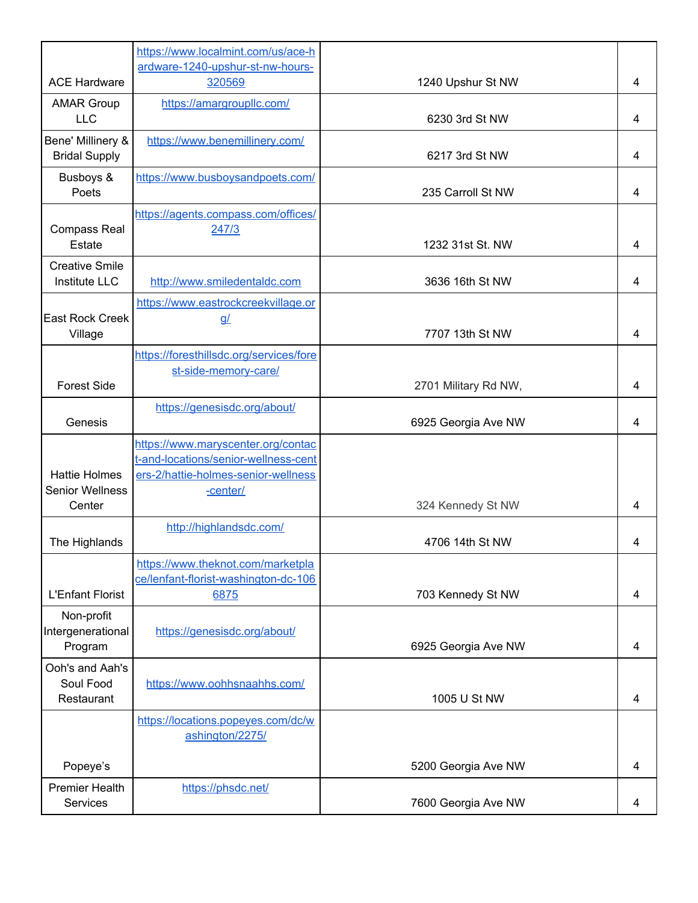|                                                | https://www.localmint.com/us/ace-h                                                                                            |                      |   |
|------------------------------------------------|-------------------------------------------------------------------------------------------------------------------------------|----------------------|---|
| <b>ACE Hardware</b>                            | ardware-1240-upshur-st-nw-hours-<br>320569                                                                                    | 1240 Upshur St NW    | 4 |
| <b>AMAR Group</b><br><b>LLC</b>                | https://amargroupllc.com/                                                                                                     | 6230 3rd St NW       | 4 |
| Bene' Millinery &<br><b>Bridal Supply</b>      | https://www.benemillinery.com/                                                                                                | 6217 3rd St NW       | 4 |
| Busboys &<br>Poets                             | https://www.busboysandpoets.com/                                                                                              | 235 Carroll St NW    | 4 |
| <b>Compass Real</b><br>Estate                  | https://agents.compass.com/offices/<br>247/3                                                                                  | 1232 31st St. NW     | 4 |
| <b>Creative Smile</b><br><b>Institute LLC</b>  | http://www.smiledentaldc.com                                                                                                  | 3636 16th St NW      | 4 |
| <b>East Rock Creek</b><br>Village              | https://www.eastrockcreekvillage.or<br>$\underline{g}/$                                                                       | 7707 13th St NW      | 4 |
| <b>Forest Side</b>                             | https://foresthillsdc.org/services/fore<br>st-side-memory-care/                                                               |                      |   |
|                                                | https://genesisdc.org/about/                                                                                                  | 2701 Military Rd NW, | 4 |
| Genesis                                        |                                                                                                                               | 6925 Georgia Ave NW  | 4 |
| <b>Hattie Holmes</b><br><b>Senior Wellness</b> | https://www.maryscenter.org/contac<br>t-and-locations/senior-wellness-cent<br>ers-2/hattie-holmes-senior-wellness<br>-center/ |                      |   |
| Center                                         |                                                                                                                               | 324 Kennedy St NW    | 4 |
| The Highlands                                  | http://highlandsdc.com/                                                                                                       | 4706 14th St NW      | 4 |
| <b>L'Enfant Florist</b>                        | https://www.theknot.com/marketpla<br>ce/lenfant-florist-washington-dc-106<br>6875                                             | 703 Kennedy St NW    | 4 |
| Non-profit<br>Intergenerational<br>Program     | https://genesisdc.org/about/                                                                                                  | 6925 Georgia Ave NW  | 4 |
| Ooh's and Aah's<br>Soul Food<br>Restaurant     | https://www.oohhsnaahhs.com/                                                                                                  | 1005 U St NW         | 4 |
|                                                | https://locations.popeyes.com/dc/w<br>ashington/2275/                                                                         |                      |   |
| Popeye's                                       |                                                                                                                               | 5200 Georgia Ave NW  | 4 |
| <b>Premier Health</b><br>Services              | https://phsdc.net/                                                                                                            | 7600 Georgia Ave NW  | 4 |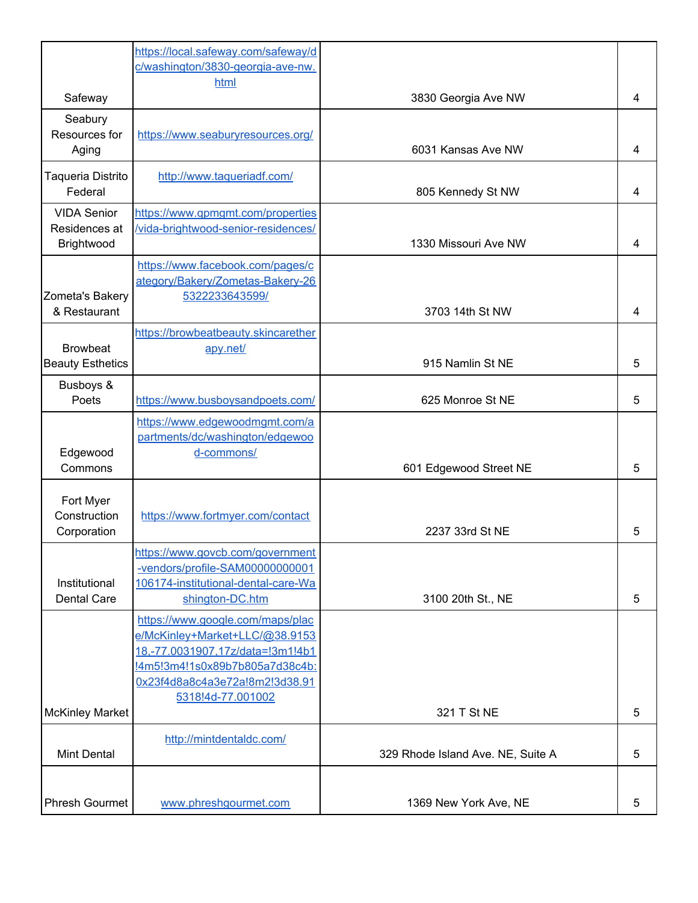|                                                   | https://local.safeway.com/safeway/d<br>c/washington/3830-georgia-ave-nw.                                                                                                                        |                                   |   |
|---------------------------------------------------|-------------------------------------------------------------------------------------------------------------------------------------------------------------------------------------------------|-----------------------------------|---|
|                                                   | html                                                                                                                                                                                            |                                   |   |
| Safeway                                           |                                                                                                                                                                                                 | 3830 Georgia Ave NW               | 4 |
| Seabury<br>Resources for<br>Aging                 | https://www.seaburyresources.org/                                                                                                                                                               | 6031 Kansas Ave NW                | 4 |
| Taqueria Distrito<br>Federal                      | http://www.taqueriadf.com/                                                                                                                                                                      | 805 Kennedy St NW                 | 4 |
| <b>VIDA Senior</b><br>Residences at<br>Brightwood | https://www.gpmgmt.com/properties<br>/vida-brightwood-senior-residences/                                                                                                                        | 1330 Missouri Ave NW              | 4 |
| Zometa's Bakery                                   | https://www.facebook.com/pages/c<br>ategory/Bakery/Zometas-Bakery-26<br>5322233643599/                                                                                                          |                                   |   |
| & Restaurant                                      |                                                                                                                                                                                                 | 3703 14th St NW                   | 4 |
| <b>Browbeat</b><br><b>Beauty Esthetics</b>        | https://browbeatbeauty.skincarether<br>apy.net/                                                                                                                                                 | 915 Namlin St NE                  | 5 |
| Busboys &<br>Poets                                | https://www.busboysandpoets.com/                                                                                                                                                                | 625 Monroe St NE                  | 5 |
| Edgewood<br>Commons                               | https://www.edgewoodmgmt.com/a<br>partments/dc/washington/edgewoo<br>d-commons/                                                                                                                 | 601 Edgewood Street NE            | 5 |
| Fort Myer<br>Construction<br>Corporation          | https://www.fortmyer.com/contact                                                                                                                                                                | 2237 33rd St NE                   | 5 |
| Institutional<br><b>Dental Care</b>               | https://www.govcb.com/government<br>-vendors/profile-SAM00000000001<br>106174-institutional-dental-care-Wa<br>shington-DC.htm                                                                   | 3100 20th St., NE                 | 5 |
|                                                   | https://www.google.com/maps/plac<br>e/McKinley+Market+LLC/@38.9153<br>18,-77.0031907,17z/data=!3m1!4b1<br>!4m5!3m4!1s0x89b7b805a7d38c4b:<br>0x23f4d8a8c4a3e72a!8m2!3d38.91<br>5318!4d-77.001002 |                                   |   |
| <b>McKinley Market</b>                            |                                                                                                                                                                                                 | 321 T St NE                       | 5 |
| <b>Mint Dental</b>                                | http://mintdentaldc.com/                                                                                                                                                                        | 329 Rhode Island Ave. NE, Suite A | 5 |
| <b>Phresh Gourmet</b>                             | www.phreshgourmet.com                                                                                                                                                                           | 1369 New York Ave, NE             | 5 |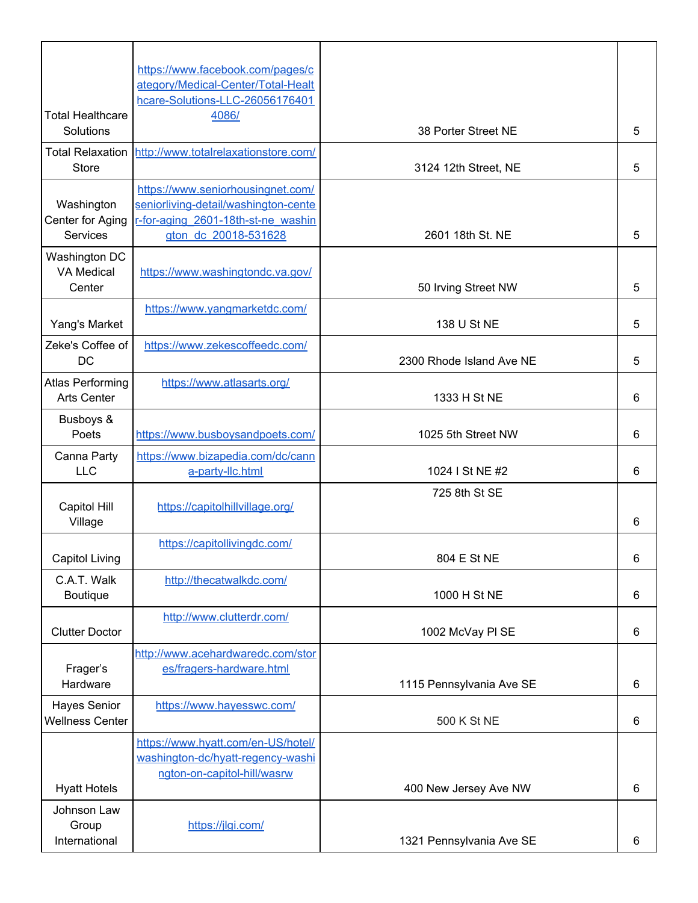|                         | https://www.facebook.com/pages/c                                      |                          |   |
|-------------------------|-----------------------------------------------------------------------|--------------------------|---|
|                         | ategory/Medical-Center/Total-Healt<br>hcare-Solutions-LLC-26056176401 |                          |   |
| <b>Total Healthcare</b> | 4086/                                                                 |                          |   |
| Solutions               |                                                                       | 38 Porter Street NE      | 5 |
| <b>Total Relaxation</b> | http://www.totalrelaxationstore.com/                                  |                          |   |
| <b>Store</b>            |                                                                       | 3124 12th Street, NE     | 5 |
|                         | https://www.seniorhousingnet.com/                                     |                          |   |
| Washington              | seniorliving-detail/washington-cente                                  |                          |   |
| Center for Aging        | r-for-aging 2601-18th-st-ne washin                                    | 2601 18th St. NE         |   |
| Services                | gton dc 20018-531628                                                  |                          | 5 |
| Washington DC           |                                                                       |                          |   |
| <b>VA Medical</b>       | https://www.washingtondc.va.gov/                                      |                          |   |
| Center                  |                                                                       | 50 Irving Street NW      | 5 |
|                         | https://www.yangmarketdc.com/                                         |                          |   |
| Yang's Market           |                                                                       | 138 U St NE              | 5 |
| Zeke's Coffee of        | https://www.zekescoffeedc.com/                                        |                          |   |
| <b>DC</b>               |                                                                       | 2300 Rhode Island Ave NE | 5 |
| <b>Atlas Performing</b> | https://www.atlasarts.org/                                            |                          |   |
| <b>Arts Center</b>      |                                                                       | 1333 H St NE             | 6 |
| Busboys &               |                                                                       |                          |   |
| Poets                   | https://www.busboysandpoets.com/                                      | 1025 5th Street NW       | 6 |
| Canna Party             | https://www.bizapedia.com/dc/cann                                     |                          |   |
| <b>LLC</b>              | a-party-llc.html                                                      | 1024 I St NE #2          | 6 |
|                         |                                                                       | 725 8th St SE            |   |
| Capitol Hill            | https://capitolhillvillage.org/                                       |                          |   |
| Village                 |                                                                       |                          | 6 |
|                         | https://capitollivingdc.com/                                          |                          |   |
| <b>Capitol Living</b>   |                                                                       | 804 E St NE              | 6 |
| C.A.T. Walk             | http://thecatwalkdc.com/                                              |                          |   |
| Boutique                |                                                                       | 1000 H St NE             | 6 |
|                         | http://www.clutterdr.com/                                             |                          |   |
| <b>Clutter Doctor</b>   |                                                                       | 1002 McVay PI SE         | 6 |
|                         | http://www.acehardwaredc.com/stor                                     |                          |   |
| Frager's                | es/fragers-hardware.html                                              |                          |   |
| Hardware                |                                                                       | 1115 Pennsylvania Ave SE | 6 |
| Hayes Senior            | https://www.hayesswc.com/                                             |                          |   |
| <b>Wellness Center</b>  |                                                                       | 500 K St NE              | 6 |
|                         | https://www.hyatt.com/en-US/hotel/                                    |                          |   |
|                         | washington-dc/hyatt-regency-washi                                     |                          |   |
|                         | ngton-on-capitol-hill/wasrw                                           |                          |   |
| <b>Hyatt Hotels</b>     |                                                                       | 400 New Jersey Ave NW    | 6 |
| Johnson Law             |                                                                       |                          |   |
| Group                   | https://jlgi.com/                                                     |                          |   |
| International           |                                                                       | 1321 Pennsylvania Ave SE | 6 |